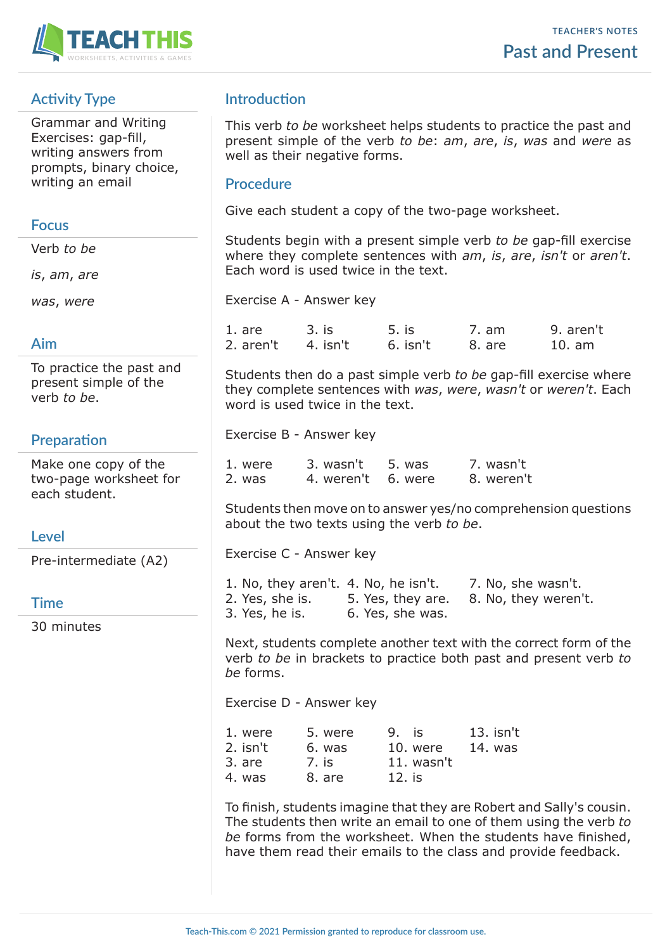

# **Activity Type**

Grammar and Writing Exercises: gap-fill, writing answers from prompts, binary choice, writing an email

#### **Focus**

Verb *to be*

*is*, *am*, *are*

*was*, *were*

# **Aim**

To practice the past and present simple of the verb *to be*.

# **Preparation**

Make one copy of the two-page worksheet for each student.

# **Level**

Pre-intermediate (A2)

## **Time**

30 minutes

# **Introduction**

This verb *to be* worksheet helps students to practice the past and present simple of the verb *to be*: *am*, *are*, *is*, *was* and *were* as well as their negative forms.

## **Procedure**

Give each student a copy of the two-page worksheet.

Students begin with a present simple verb *to be* gap-fill exercise where they complete sentences with *am*, *is*, *are*, *isn't* or *aren't*. Each word is used twice in the text.

Exercise A - Answer key

| 1. are             | 3. is | 5. is      | 7. am  | 9. aren't |
|--------------------|-------|------------|--------|-----------|
| 2. aren't 4. isn't |       | $6.$ isn't | 8. are | 10. am    |

Students then do a past simple verb *to be* gap-fill exercise where they complete sentences with *was*, *were*, *wasn't* or *weren't*. Each word is used twice in the text.

Exercise B - Answer key

| 1. were | 3. wasn't 5. was   | 7. wasn't  |
|---------|--------------------|------------|
| 2. was  | 4. weren't 6. were | 8. weren't |

Students then move on to answer yes/no comprehension questions about the two texts using the verb *to be*.

Exercise C - Answer key

| 1. No, they aren't. 4. No, he isn't. |                   | 7. No, she wasn't.   |
|--------------------------------------|-------------------|----------------------|
| 2. Yes, she is.                      | 5. Yes, they are. | 8. No, they weren't. |
| 3. Yes, he is.                       | 6. Yes, she was.  |                      |

Next, students complete another text with the correct form of the verb *to be* in brackets to practice both past and present verb *to be* forms.

Exercise D - Answer key

| 1. were  | 5. were | $9.$ is    | $13.$ isn't |
|----------|---------|------------|-------------|
| 2. isn't | 6. was  | 10. were   | 14. was     |
| 3. are   | 7. is   | 11. wasn't |             |
| 4. was   | 8. are  | 12. is     |             |

To finish, students imagine that they are Robert and Sally's cousin. The students then write an email to one of them using the verb *to be* forms from the worksheet. When the students have finished, have them read their emails to the class and provide feedback.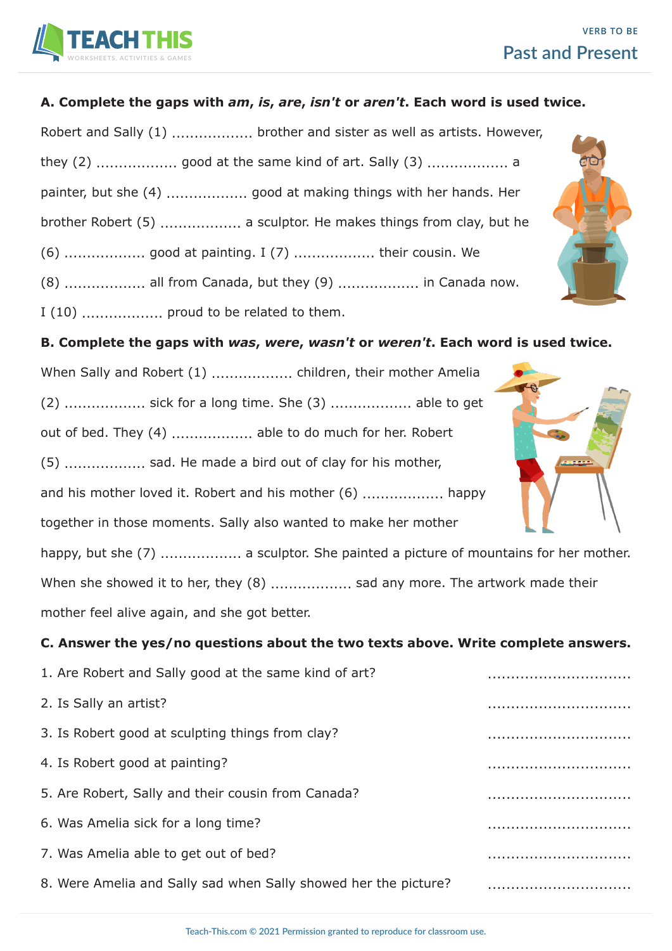

#### **A. Complete the gaps with** *am***,** *is***,** *are***,** *isn't* **or** *aren't***. Each word is used twice.**

Robert and Sally (1) .................... brother and sister as well as artists. However, they (2) .................. good at the same kind of art. Sally (3) .................. a painter, but she (4) .................. good at making things with her hands. Her brother Robert (5) .................. a sculptor. He makes things from clay, but he (6) .................. good at painting. I (7) .................. their cousin. We (8) .................. all from Canada, but they (9) .................. in Canada now.

I (10) .................. proud to be related to them.

**B. Complete the gaps with** *was***,** *were***,** *wasn't* **or** *weren't***. Each word is used twice.**

(2) .................. sick for a long time. She (3) .................. able to get out of bed. They (4) ........................ able to do much for her. Robert (5) .................. sad. He made a bird out of clay for his mother, and his mother loved it. Robert and his mother (6) .................. happy together in those moments. Sally also wanted to make her mother happy, but she (7) ......................... a sculptor. She painted a picture of mountains for her mother. When she showed it to her, they (8) ..................... sad any more. The artwork made their mother feel alive again, and she got better.

**C. Answer the yes/no questions about the two texts above. Write complete answers.**

| 1. Are Robert and Sally good at the same kind of art?           |   |
|-----------------------------------------------------------------|---|
| 2. Is Sally an artist?                                          |   |
| 3. Is Robert good at sculpting things from clay?                |   |
| 4. Is Robert good at painting?                                  |   |
| 5. Are Robert, Sally and their cousin from Canada?              |   |
| 6. Was Amelia sick for a long time?                             | . |
| 7. Was Amelia able to get out of bed?                           |   |
| 8. Were Amelia and Sally sad when Sally showed her the picture? |   |